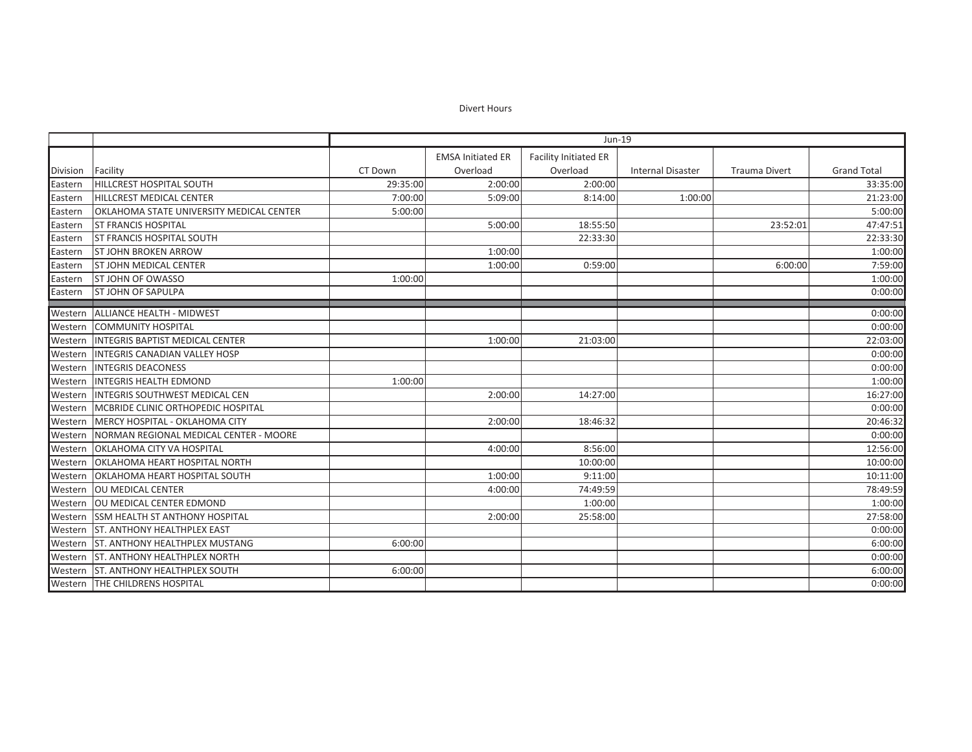Divert Hours

|          |                                            | Jun-19   |                          |                       |                          |                      |                    |
|----------|--------------------------------------------|----------|--------------------------|-----------------------|--------------------------|----------------------|--------------------|
|          |                                            |          | <b>EMSA Initiated ER</b> | Facility Initiated ER |                          |                      |                    |
| Division | Facility                                   | CT Down  | Overload                 | Overload              | <b>Internal Disaster</b> | <b>Trauma Divert</b> | <b>Grand Total</b> |
| Eastern  | <b>HILLCREST HOSPITAL SOUTH</b>            | 29:35:00 | 2:00:00                  | 2:00:00               |                          |                      | 33:35:00           |
| Eastern  | <b>HILLCREST MEDICAL CENTER</b>            | 7:00:00  | 5:09:00                  | 8:14:00               | 1:00:00                  |                      | 21:23:00           |
| Eastern  | OKLAHOMA STATE UNIVERSITY MEDICAL CENTER   | 5:00:00  |                          |                       |                          |                      | 5:00:00            |
| Eastern  | <b>ST FRANCIS HOSPITAL</b>                 |          | 5:00:00                  | 18:55:50              |                          | 23:52:01             | 47:47:51           |
| Eastern  | <b>ST FRANCIS HOSPITAL SOUTH</b>           |          |                          | 22:33:30              |                          |                      | 22:33:30           |
| Eastern  | <b>ST JOHN BROKEN ARROW</b>                |          | 1:00:00                  |                       |                          |                      | 1:00:00            |
| Eastern  | <b>ST JOHN MEDICAL CENTER</b>              |          | 1:00:00                  | 0:59:00               |                          | 6:00:00              | 7:59:00            |
| Eastern  | <b>ST JOHN OF OWASSO</b>                   | 1:00:00  |                          |                       |                          |                      | 1:00:00            |
| Eastern  | <b>ST JOHN OF SAPULPA</b>                  |          |                          |                       |                          |                      | 0:00:00            |
| Western  | <b>ALLIANCE HEALTH - MIDWEST</b>           |          |                          |                       |                          |                      | 0:00:00            |
| Western  | <b>COMMUNITY HOSPITAL</b>                  |          |                          |                       |                          |                      | 0:00:00            |
| Western  | <b>INTEGRIS BAPTIST MEDICAL CENTER</b>     |          | 1:00:00                  | 21:03:00              |                          |                      | 22:03:00           |
| Western  | <b>INTEGRIS CANADIAN VALLEY HOSP</b>       |          |                          |                       |                          |                      | 0:00:00            |
| Western  | <b>INTEGRIS DEACONESS</b>                  |          |                          |                       |                          |                      | 0:00:00            |
| Western  | <b>INTEGRIS HEALTH EDMOND</b>              | 1:00:00  |                          |                       |                          |                      | 1:00:00            |
| Western  | <b>INTEGRIS SOUTHWEST MEDICAL CEN</b>      |          | 2:00:00                  | 14:27:00              |                          |                      | 16:27:00           |
|          | Western MCBRIDE CLINIC ORTHOPEDIC HOSPITAL |          |                          |                       |                          |                      | 0:00:00            |
| Western  | MERCY HOSPITAL - OKLAHOMA CITY             |          | 2:00:00                  | 18:46:32              |                          |                      | 20:46:32           |
| Western  | NORMAN REGIONAL MEDICAL CENTER - MOORE     |          |                          |                       |                          |                      | 0:00:00            |
| Western  | OKLAHOMA CITY VA HOSPITAL                  |          | 4:00:00                  | 8:56:00               |                          |                      | 12:56:00           |
| Western  | OKLAHOMA HEART HOSPITAL NORTH              |          |                          | 10:00:00              |                          |                      | 10:00:00           |
| Western  | OKLAHOMA HEART HOSPITAL SOUTH              |          | 1:00:00                  | 9:11:00               |                          |                      | 10:11:00           |
| Western  | <b>OU MEDICAL CENTER</b>                   |          | 4:00:00                  | 74:49:59              |                          |                      | 78:49:59           |
| Western  | OU MEDICAL CENTER EDMOND                   |          |                          | 1:00:00               |                          |                      | 1:00:00            |
| Western  | <b>SSM HEALTH ST ANTHONY HOSPITAL</b>      |          | 2:00:00                  | 25:58:00              |                          |                      | 27:58:00           |
| Western  | <b>ST. ANTHONY HEALTHPLEX EAST</b>         |          |                          |                       |                          |                      | 0:00:00            |
| Western  | <b>ST. ANTHONY HEALTHPLEX MUSTANG</b>      | 6:00:00  |                          |                       |                          |                      | 6:00:00            |
|          | Western ST. ANTHONY HEALTHPLEX NORTH       |          |                          |                       |                          |                      | 0:00:00            |
| Western  | <b>ST. ANTHONY HEALTHPLEX SOUTH</b>        | 6:00:00  |                          |                       |                          |                      | 6:00:00            |
|          | Western THE CHILDRENS HOSPITAL             |          |                          |                       |                          |                      | 0:00:00            |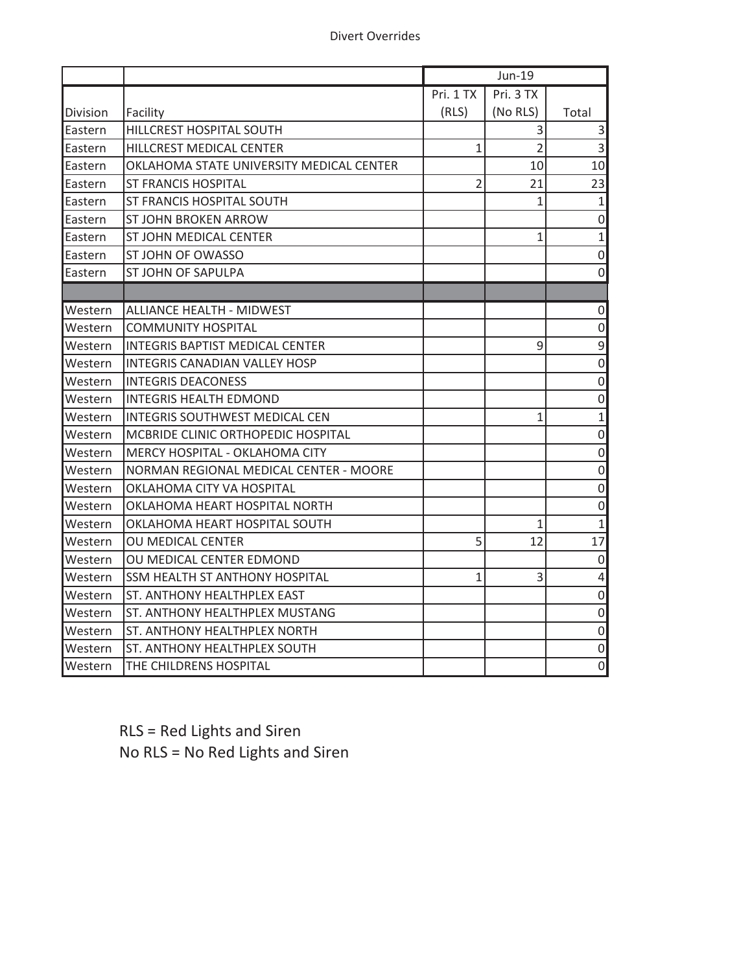|                 |                                          |                | Jun-19         |                     |
|-----------------|------------------------------------------|----------------|----------------|---------------------|
|                 |                                          | Pri. 1 TX      | Pri. 3 TX      |                     |
| Division        | Facility                                 | (RLS)          | (No RLS)       | Total               |
| <b>IEastern</b> | <b>HILLCREST HOSPITAL SOUTH</b>          |                | 3              | 3                   |
| Eastern         | HILLCREST MEDICAL CENTER                 | $\mathbf{1}$   | $\overline{2}$ | $\overline{3}$      |
| Eastern         | OKLAHOMA STATE UNIVERSITY MEDICAL CENTER |                | 10             | 10                  |
| Eastern         | <b>ST FRANCIS HOSPITAL</b>               | $\overline{2}$ | 21             | 23                  |
| Eastern         | ST FRANCIS HOSPITAL SOUTH                |                | 1              | $\mathbf 1$         |
| lEastern        | <b>ST JOHN BROKEN ARROW</b>              |                |                | $\mathsf{O}\xspace$ |
| lEastern        | ST JOHN MEDICAL CENTER                   |                | 1              | $\mathbf 1$         |
| Eastern         | ST JOHN OF OWASSO                        |                |                | $\mathbf 0$         |
| Eastern         | <b>ST JOHN OF SAPULPA</b>                |                |                | $\mathbf 0$         |
|                 |                                          |                |                |                     |
| Western         | <b>ALLIANCE HEALTH - MIDWEST</b>         |                |                | $\mathsf 0$         |
| Western         | <b>COMMUNITY HOSPITAL</b>                |                |                | $\mathsf 0$         |
| Western         | <b>INTEGRIS BAPTIST MEDICAL CENTER</b>   |                | 9              | 9                   |
| Western         | INTEGRIS CANADIAN VALLEY HOSP            |                |                | $\mathsf{O}\xspace$ |
| Western         | <b>INTEGRIS DEACONESS</b>                |                |                | $\mathbf 0$         |
| Western         | <b>INTEGRIS HEALTH EDMOND</b>            |                |                | $\mathsf{O}\xspace$ |
| Western         | INTEGRIS SOUTHWEST MEDICAL CEN           |                | 1              | $\mathbf{1}$        |
| Western         | MCBRIDE CLINIC ORTHOPEDIC HOSPITAL       |                |                | $\mathbf 0$         |
| Western         | MERCY HOSPITAL - OKLAHOMA CITY           |                |                | $\mathsf{O}\xspace$ |
| Western         | NORMAN REGIONAL MEDICAL CENTER - MOORE   |                |                | $\mathbf 0$         |
| Western         | OKLAHOMA CITY VA HOSPITAL                |                |                | $\mathsf{O}\xspace$ |
| Western         | OKLAHOMA HEART HOSPITAL NORTH            |                |                | $\mathsf 0$         |
| Western         | OKLAHOMA HEART HOSPITAL SOUTH            |                | $\mathbf{1}$   | $\mathbf{1}$        |
| Western         | OU MEDICAL CENTER                        | 5              | 12             | 17                  |
| Western         | OU MEDICAL CENTER EDMOND                 |                |                | $\mathbf 0$         |
| Western         | <b>SSM HEALTH ST ANTHONY HOSPITAL</b>    | 1              | 3              | 4                   |
| Western         | <b>ST. ANTHONY HEALTHPLEX EAST</b>       |                |                | $\mathbf 0$         |
| Western         | ST. ANTHONY HEALTHPLEX MUSTANG           |                |                | $\mathbf 0$         |
| Western         | <b>ST. ANTHONY HEALTHPLEX NORTH</b>      |                |                | $\boldsymbol{0}$    |
| Western         | ST. ANTHONY HEALTHPLEX SOUTH             |                |                | $\mathsf{O}\xspace$ |
| Western         | THE CHILDRENS HOSPITAL                   |                |                | 0                   |

RLS = Red Lights and Siren No RLS = No Red Lights and Siren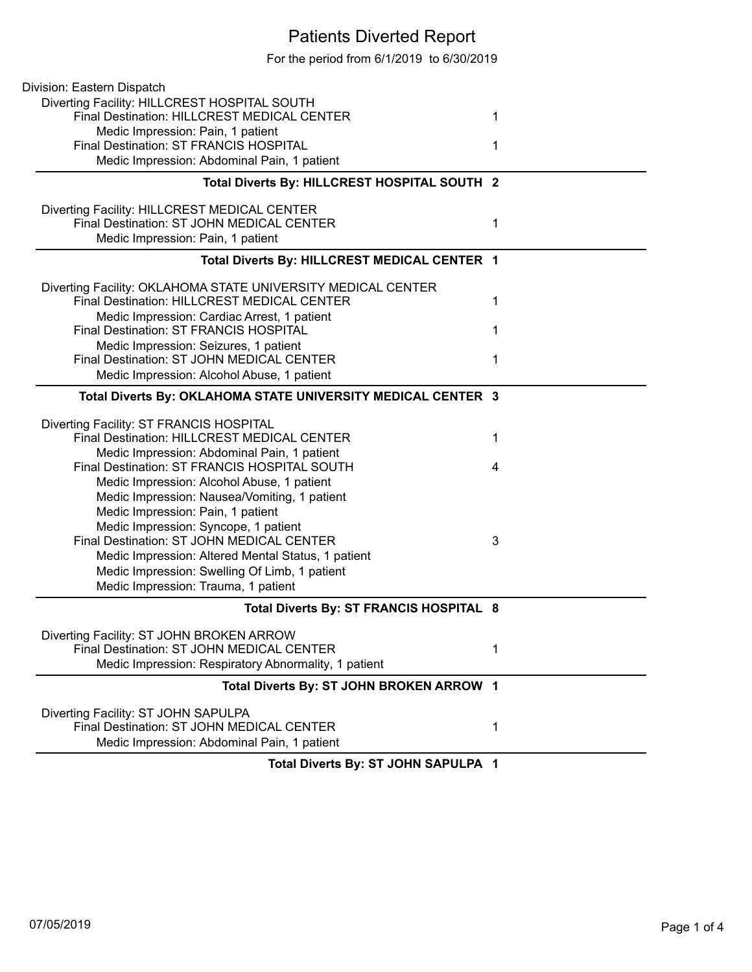## Patients Diverted Report

For the period from 6/1/2019 to 6/30/2019

| Division: Eastern Dispatch                                   |   |
|--------------------------------------------------------------|---|
| Diverting Facility: HILLCREST HOSPITAL SOUTH                 |   |
| Final Destination: HILLCREST MEDICAL CENTER                  | 1 |
| Medic Impression: Pain, 1 patient                            |   |
| Final Destination: ST FRANCIS HOSPITAL                       | 1 |
| Medic Impression: Abdominal Pain, 1 patient                  |   |
| Total Diverts By: HILLCREST HOSPITAL SOUTH 2                 |   |
| Diverting Facility: HILLCREST MEDICAL CENTER                 |   |
| Final Destination: ST JOHN MEDICAL CENTER                    | 1 |
| Medic Impression: Pain, 1 patient                            |   |
| Total Diverts By: HILLCREST MEDICAL CENTER 1                 |   |
| Diverting Facility: OKLAHOMA STATE UNIVERSITY MEDICAL CENTER |   |
| Final Destination: HILLCREST MEDICAL CENTER                  | 1 |
| Medic Impression: Cardiac Arrest, 1 patient                  |   |
| Final Destination: ST FRANCIS HOSPITAL                       | 1 |
| Medic Impression: Seizures, 1 patient                        |   |
| Final Destination: ST JOHN MEDICAL CENTER                    | 1 |
| Medic Impression: Alcohol Abuse, 1 patient                   |   |
| Total Diverts By: OKLAHOMA STATE UNIVERSITY MEDICAL CENTER 3 |   |
| Diverting Facility: ST FRANCIS HOSPITAL                      |   |
| Final Destination: HILLCREST MEDICAL CENTER                  | 1 |
| Medic Impression: Abdominal Pain, 1 patient                  |   |
| Final Destination: ST FRANCIS HOSPITAL SOUTH                 | 4 |
| Medic Impression: Alcohol Abuse, 1 patient                   |   |
| Medic Impression: Nausea/Vomiting, 1 patient                 |   |
| Medic Impression: Pain, 1 patient                            |   |
| Medic Impression: Syncope, 1 patient                         |   |
| Final Destination: ST JOHN MEDICAL CENTER                    | 3 |
| Medic Impression: Altered Mental Status, 1 patient           |   |
| Medic Impression: Swelling Of Limb, 1 patient                |   |
| Medic Impression: Trauma, 1 patient                          |   |
| Total Diverts By: ST FRANCIS HOSPITAL 8                      |   |
| Diverting Facility: ST JOHN BROKEN ARROW                     |   |
| Final Destination: ST JOHN MEDICAL CENTER                    | 1 |
| Medic Impression: Respiratory Abnormality, 1 patient         |   |
| Total Diverts By: ST JOHN BROKEN ARROW 1                     |   |
| Diverting Facility: ST JOHN SAPULPA                          |   |
| Final Destination: ST JOHN MEDICAL CENTER                    | 1 |
| Medic Impression: Abdominal Pain, 1 patient                  |   |
| Tatal Discorts Dr., OT JOUN CADULDA                          |   |

**Total Diverts By: ST JOHN SAPULPA 1**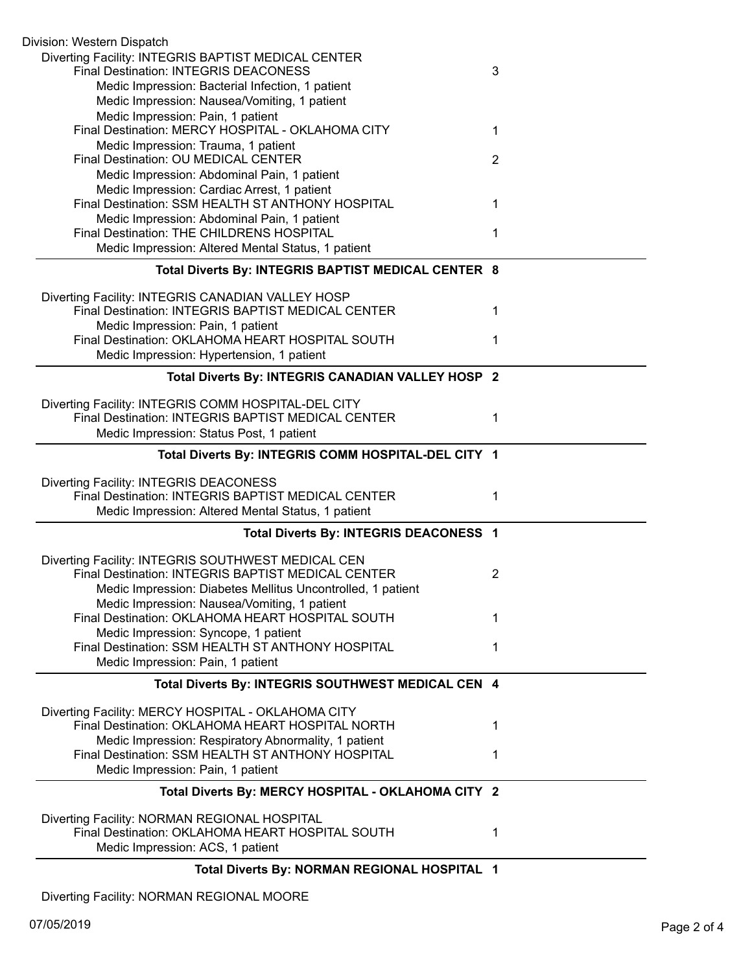| Division: Western Dispatch                                                                          |   |
|-----------------------------------------------------------------------------------------------------|---|
| Diverting Facility: INTEGRIS BAPTIST MEDICAL CENTER<br><b>Final Destination: INTEGRIS DEACONESS</b> | 3 |
| Medic Impression: Bacterial Infection, 1 patient                                                    |   |
| Medic Impression: Nausea/Vomiting, 1 patient                                                        |   |
| Medic Impression: Pain, 1 patient                                                                   |   |
| Final Destination: MERCY HOSPITAL - OKLAHOMA CITY                                                   | 1 |
| Medic Impression: Trauma, 1 patient                                                                 |   |
| Final Destination: OU MEDICAL CENTER                                                                | 2 |
| Medic Impression: Abdominal Pain, 1 patient                                                         |   |
| Medic Impression: Cardiac Arrest, 1 patient<br>Final Destination: SSM HEALTH ST ANTHONY HOSPITAL    |   |
|                                                                                                     | 1 |
| Medic Impression: Abdominal Pain, 1 patient<br>Final Destination: THE CHILDRENS HOSPITAL            | 1 |
| Medic Impression: Altered Mental Status, 1 patient                                                  |   |
|                                                                                                     |   |
| Total Diverts By: INTEGRIS BAPTIST MEDICAL CENTER 8                                                 |   |
| Diverting Facility: INTEGRIS CANADIAN VALLEY HOSP                                                   |   |
| Final Destination: INTEGRIS BAPTIST MEDICAL CENTER                                                  | 1 |
| Medic Impression: Pain, 1 patient                                                                   |   |
| Final Destination: OKLAHOMA HEART HOSPITAL SOUTH                                                    | 1 |
| Medic Impression: Hypertension, 1 patient                                                           |   |
| Total Diverts By: INTEGRIS CANADIAN VALLEY HOSP 2                                                   |   |
| Diverting Facility: INTEGRIS COMM HOSPITAL-DEL CITY                                                 |   |
| Final Destination: INTEGRIS BAPTIST MEDICAL CENTER                                                  | 1 |
| Medic Impression: Status Post, 1 patient                                                            |   |
| Total Diverts By: INTEGRIS COMM HOSPITAL-DEL CITY 1                                                 |   |
|                                                                                                     |   |
| Diverting Facility: INTEGRIS DEACONESS<br>Final Destination: INTEGRIS BAPTIST MEDICAL CENTER        |   |
|                                                                                                     | 1 |
| Medic Impression: Altered Mental Status, 1 patient                                                  |   |
| Total Diverts By: INTEGRIS DEACONESS 1                                                              |   |
| Diverting Facility: INTEGRIS SOUTHWEST MEDICAL CEN                                                  |   |
| Final Destination: INTEGRIS BAPTIST MEDICAL CENTER                                                  | 2 |
| Medic Impression: Diabetes Mellitus Uncontrolled, 1 patient                                         |   |
| Medic Impression: Nausea/Vomiting, 1 patient                                                        |   |
| Final Destination: OKLAHOMA HEART HOSPITAL SOUTH                                                    | 1 |
| Medic Impression: Syncope, 1 patient                                                                |   |
| Final Destination: SSM HEALTH ST ANTHONY HOSPITAL                                                   | 1 |
| Medic Impression: Pain, 1 patient                                                                   |   |
| Total Diverts By: INTEGRIS SOUTHWEST MEDICAL CEN 4                                                  |   |
| Diverting Facility: MERCY HOSPITAL - OKLAHOMA CITY                                                  |   |
| Final Destination: OKLAHOMA HEART HOSPITAL NORTH                                                    | 1 |
| Medic Impression: Respiratory Abnormality, 1 patient                                                |   |
| Final Destination: SSM HEALTH ST ANTHONY HOSPITAL                                                   | 1 |
| Medic Impression: Pain, 1 patient                                                                   |   |
| Total Diverts By: MERCY HOSPITAL - OKLAHOMA CITY 2                                                  |   |
| Diverting Facility: NORMAN REGIONAL HOSPITAL                                                        |   |
| Final Destination: OKLAHOMA HEART HOSPITAL SOUTH                                                    | 1 |
| Medic Impression: ACS, 1 patient                                                                    |   |
|                                                                                                     |   |
| Total Diverts By: NORMAN REGIONAL HOSPITAL 1                                                        |   |

Diverting Facility: NORMAN REGIONAL MOORE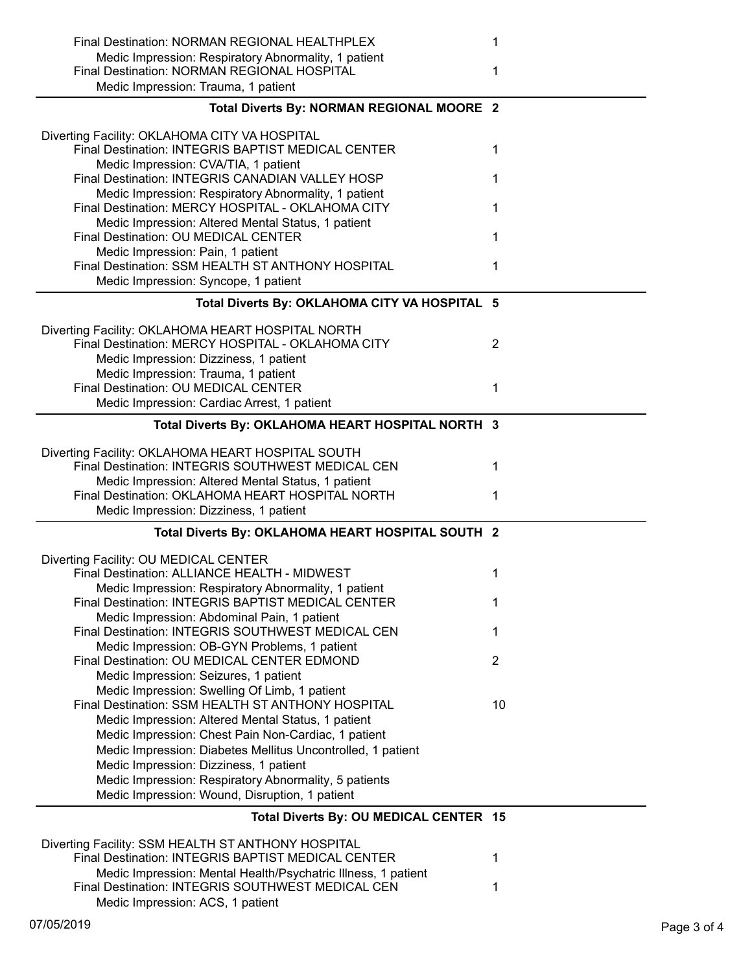| Final Destination: NORMAN REGIONAL HEALTHPLEX<br>Medic Impression: Respiratory Abnormality, 1 patient<br>Final Destination: NORMAN REGIONAL HOSPITAL                     | 1<br>1         |
|--------------------------------------------------------------------------------------------------------------------------------------------------------------------------|----------------|
| Medic Impression: Trauma, 1 patient                                                                                                                                      |                |
| Total Diverts By: NORMAN REGIONAL MOORE 2                                                                                                                                |                |
| Diverting Facility: OKLAHOMA CITY VA HOSPITAL<br>Final Destination: INTEGRIS BAPTIST MEDICAL CENTER<br>Medic Impression: CVA/TIA, 1 patient                              | 1              |
| Final Destination: INTEGRIS CANADIAN VALLEY HOSP                                                                                                                         | 1              |
| Medic Impression: Respiratory Abnormality, 1 patient<br>Final Destination: MERCY HOSPITAL - OKLAHOMA CITY                                                                | 1              |
| Medic Impression: Altered Mental Status, 1 patient<br>Final Destination: OU MEDICAL CENTER<br>Medic Impression: Pain, 1 patient                                          | 1              |
| Final Destination: SSM HEALTH ST ANTHONY HOSPITAL                                                                                                                        | 1              |
| Medic Impression: Syncope, 1 patient                                                                                                                                     |                |
| Total Diverts By: OKLAHOMA CITY VA HOSPITAL 5                                                                                                                            |                |
| Diverting Facility: OKLAHOMA HEART HOSPITAL NORTH<br>Final Destination: MERCY HOSPITAL - OKLAHOMA CITY<br>Medic Impression: Dizziness, 1 patient                         | $\overline{2}$ |
| Medic Impression: Trauma, 1 patient<br>Final Destination: OU MEDICAL CENTER<br>Medic Impression: Cardiac Arrest, 1 patient                                               | 1              |
| Total Diverts By: OKLAHOMA HEART HOSPITAL NORTH 3                                                                                                                        |                |
| Diverting Facility: OKLAHOMA HEART HOSPITAL SOUTH<br>Final Destination: INTEGRIS SOUTHWEST MEDICAL CEN                                                                   | 1              |
| Medic Impression: Altered Mental Status, 1 patient<br>Final Destination: OKLAHOMA HEART HOSPITAL NORTH<br>Medic Impression: Dizziness, 1 patient                         | 1              |
| Total Diverts By: OKLAHOMA HEART HOSPITAL SOUTH 2                                                                                                                        |                |
| Diverting Facility: OU MEDICAL CENTER                                                                                                                                    |                |
| Final Destination: ALLIANCE HEALTH - MIDWEST<br>Medic Impression: Respiratory Abnormality, 1 patient                                                                     | 1              |
| Final Destination: INTEGRIS BAPTIST MEDICAL CENTER<br>Medic Impression: Abdominal Pain, 1 patient                                                                        | 1              |
| Final Destination: INTEGRIS SOUTHWEST MEDICAL CEN<br>Medic Impression: OB-GYN Problems, 1 patient                                                                        | 1              |
| Final Destination: OU MEDICAL CENTER EDMOND<br>Medic Impression: Seizures, 1 patient                                                                                     | $\overline{2}$ |
| Medic Impression: Swelling Of Limb, 1 patient<br>Final Destination: SSM HEALTH ST ANTHONY HOSPITAL                                                                       | 10             |
| Medic Impression: Altered Mental Status, 1 patient<br>Medic Impression: Chest Pain Non-Cardiac, 1 patient<br>Medic Impression: Diabetes Mellitus Uncontrolled, 1 patient |                |
| Medic Impression: Dizziness, 1 patient                                                                                                                                   |                |
| Medic Impression: Respiratory Abnormality, 5 patients                                                                                                                    |                |
| Medic Impression: Wound, Disruption, 1 patient                                                                                                                           |                |
| Total Diverts By: OU MEDICAL CENTER 15                                                                                                                                   |                |
| Diverting Facility: SSM HEALTH ST ANTHONY HOSPITAL<br>Final Destination: INTEGRIS BAPTIST MEDICAL CENTER                                                                 | 1              |
| Medic Impression: Mental Health/Psychatric Illness, 1 patient<br>Final Destination: INTEGRIS SOUTHWEST MEDICAL CEN<br>Medic Impression: ACS, 1 patient                   | 1              |